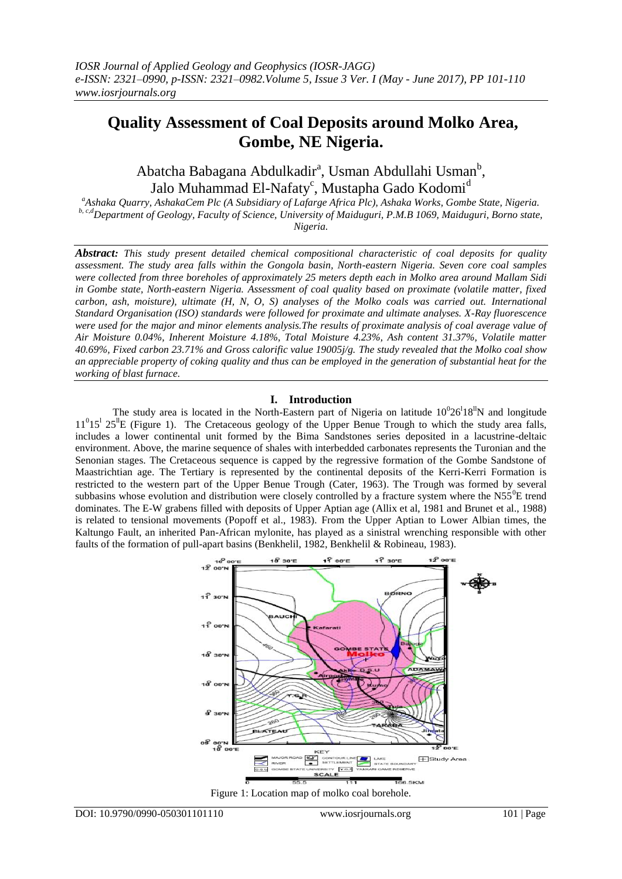# **Quality Assessment of Coal Deposits around Molko Area, Gombe, NE Nigeria.**

Abatcha Babagana Abdulkadir<sup>a</sup>, Usman Abdullahi Usman<sup>b</sup>, Jalo Muhammad El-Nafaty<sup>c</sup>, Mustapha Gado Kodomi<sup>d</sup>

*<sup>a</sup>Ashaka Quarry, AshakaCem Plc (A Subsidiary of Lafarge Africa Plc), Ashaka Works, Gombe State, Nigeria. b, c,dDepartment of Geology, Faculty of Science, University of Maiduguri, P.M.B 1069, Maiduguri, Borno state, Nigeria.* 

*Abstract: This study present detailed chemical compositional characteristic of coal deposits for quality assessment. The study area falls within the Gongola basin, North-eastern Nigeria. Seven core coal samples were collected from three boreholes of approximately 25 meters depth each in Molko area around Mallam Sidi in Gombe state, North-eastern Nigeria. Assessment of coal quality based on proximate (volatile matter, fixed carbon, ash, moisture), ultimate (H, N, O, S) analyses of the Molko coals was carried out. International Standard Organisation (ISO) standards were followed for proximate and ultimate analyses. X-Ray fluorescence were used for the major and minor elements analysis.The results of proximate analysis of coal average value of Air Moisture 0.04%, Inherent Moisture 4.18%, Total Moisture 4.23%, Ash content 31.37%, Volatile matter 40.69%, Fixed carbon 23.71% and Gross calorific value 19005j/g. The study revealed that the Molko coal show an appreciable property of coking quality and thus can be employed in the generation of substantial heat for the working of blast furnace.* 

## **I. Introduction**

The study area is located in the North-Eastern part of Nigeria on latitude  $10^026^118^1$ N and longitude  $11^015^125^1E$  (Figure 1). The Cretaceous geology of the Upper Benue Trough to which the study area falls, includes a lower continental unit formed by the Bima Sandstones series deposited in a lacustrine-deltaic environment. Above, the marine sequence of shales with interbedded carbonates represents the Turonian and the Senonian stages. The Cretaceous sequence is capped by the regressive formation of the Gombe Sandstone of Maastrichtian age. The Tertiary is represented by the continental deposits of the Kerri-Kerri Formation is restricted to the western part of the Upper Benue Trough (Cater, 1963). The Trough was formed by several subbasins whose evolution and distribution were closely controlled by a fracture system where the  $N55^{0}E$  trend dominates. The E-W grabens filled with deposits of Upper Aptian age (Allix et al, 1981 and Brunet et al., 1988) is related to tensional movements (Popoff et al., 1983). From the Upper Aptian to Lower Albian times, the Kaltungo Fault, an inherited Pan-African mylonite, has played as a sinistral wrenching responsible with other faults of the formation of pull-apart basins (Benkhelil, 1982, Benkhelil & Robineau, 1983).

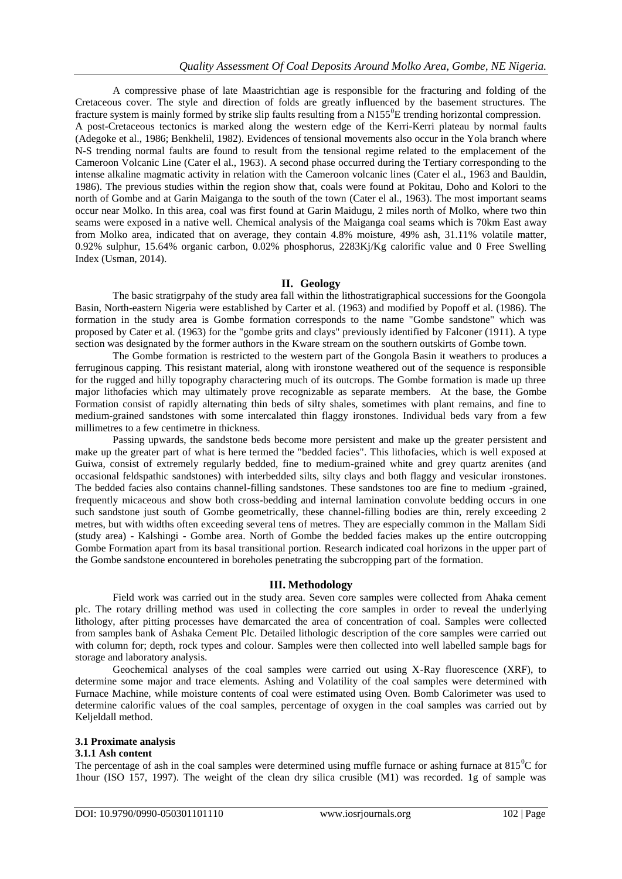A compressive phase of late Maastrichtian age is responsible for the fracturing and folding of the Cretaceous cover. The style and direction of folds are greatly influenced by the basement structures. The fracture system is mainly formed by strike slip faults resulting from a  $N155^{\circ}$ E trending horizontal compression. A post-Cretaceous tectonics is marked along the western edge of the Kerri-Kerri plateau by normal faults (Adegoke et al., 1986; Benkhelil, 1982). Evidences of tensional movements also occur in the Yola branch where N-S trending normal faults are found to result from the tensional regime related to the emplacement of the Cameroon Volcanic Line (Cater el al., 1963). A second phase occurred during the Tertiary corresponding to the intense alkaline magmatic activity in relation with the Cameroon volcanic lines (Cater el al., 1963 and Bauldin, 1986). The previous studies within the region show that, coals were found at Pokitau, Doho and Kolori to the north of Gombe and at Garin Maiganga to the south of the town (Cater el al., 1963). The most important seams occur near Molko. In this area, coal was first found at Garin Maidugu, 2 miles north of Molko, where two thin seams were exposed in a native well. Chemical analysis of the Maiganga coal seams which is 70km East away from Molko area, indicated that on average, they contain 4.8% moisture, 49% ash, 31.11% volatile matter, 0.92% sulphur, 15.64% organic carbon, 0.02% phosphorus, 2283Kj/Kg calorific value and 0 Free Swelling Index (Usman, 2014).

# **II. Geology**

The basic stratigrpahy of the study area fall within the lithostratigraphical successions for the Goongola Basin, North-eastern Nigeria were established by Carter et al. (1963) and modified by Popoff et al. (1986). The formation in the study area is Gombe formation corresponds to the name "Gombe sandstone" which was proposed by Cater et al. (1963) for the "gombe grits and clays" previously identified by Falconer (1911). A type section was designated by the former authors in the Kware stream on the southern outskirts of Gombe town.

The Gombe formation is restricted to the western part of the Gongola Basin it weathers to produces a ferruginous capping. This resistant material, along with ironstone weathered out of the sequence is responsible for the rugged and hilly topography charactering much of its outcrops. The Gombe formation is made up three major lithofacies which may ultimately prove recognizable as separate members. At the base, the Gombe Formation consist of rapidly alternating thin beds of silty shales, sometimes with plant remains, and fine to medium-grained sandstones with some intercalated thin flaggy ironstones. Individual beds vary from a few millimetres to a few centimetre in thickness.

Passing upwards, the sandstone beds become more persistent and make up the greater persistent and make up the greater part of what is here termed the "bedded facies". This lithofacies, which is well exposed at Guiwa, consist of extremely regularly bedded, fine to medium-grained white and grey quartz arenites (and occasional feldspathic sandstones) with interbedded silts, silty clays and both flaggy and vesicular ironstones. The bedded facies also contains channel-filling sandstones. These sandstones too are fine to medium -grained, frequently micaceous and show both cross-bedding and internal lamination convolute bedding occurs in one such sandstone just south of Gombe geometrically, these channel-filling bodies are thin, rerely exceeding 2 metres, but with widths often exceeding several tens of metres. They are especially common in the Mallam Sidi (study area) - Kalshingi - Gombe area. North of Gombe the bedded facies makes up the entire outcropping Gombe Formation apart from its basal transitional portion. Research indicated coal horizons in the upper part of the Gombe sandstone encountered in boreholes penetrating the subcropping part of the formation.

## **III. Methodology**

Field work was carried out in the study area. Seven core samples were collected from Ahaka cement plc. The rotary drilling method was used in collecting the core samples in order to reveal the underlying lithology, after pitting processes have demarcated the area of concentration of coal. Samples were collected from samples bank of Ashaka Cement Plc. Detailed lithologic description of the core samples were carried out with column for; depth, rock types and colour. Samples were then collected into well labelled sample bags for storage and laboratory analysis.

Geochemical analyses of the coal samples were carried out using X-Ray fluorescence (XRF), to determine some major and trace elements. Ashing and Volatility of the coal samples were determined with Furnace Machine, while moisture contents of coal were estimated using Oven. Bomb Calorimeter was used to determine calorific values of the coal samples, percentage of oxygen in the coal samples was carried out by Keljeldall method.

## **3.1 Proximate analysis**

## **3.1.1 Ash content**

The percentage of ash in the coal samples were determined using muffle furnace or ashing furnace at  $815^{\circ}$ C for 1hour (ISO 157, 1997). The weight of the clean dry silica crusible (M1) was recorded. 1g of sample was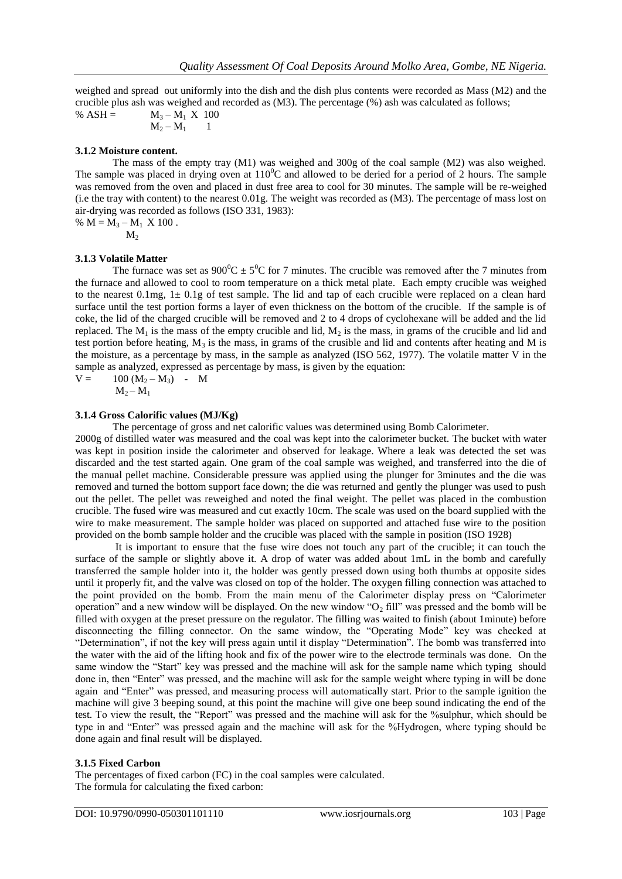weighed and spread out uniformly into the dish and the dish plus contents were recorded as Mass (M2) and the crucible plus ash was weighed and recorded as (M3). The percentage (%) ash was calculated as follows;

%  $ASH =$   $M_3 - M_1 X 100$  $M_2 - M_1$ 

## **3.1.2 Moisture content.**

The mass of the empty tray (M1) was weighed and 300g of the coal sample (M2) was also weighed. The sample was placed in drying oven at  $110^{\circ}$ C and allowed to be deried for a period of 2 hours. The sample was removed from the oven and placed in dust free area to cool for 30 minutes. The sample will be re-weighed (i.e the tray with content) to the nearest 0.01g. The weight was recorded as (M3). The percentage of mass lost on air-drying was recorded as follows (ISO 331, 1983):

%  $M = M_3 - M_1 X 100$ .

 $M<sub>2</sub>$ 

#### **3.1.3 Volatile Matter**

The furnace was set as  $900^{\circ}C \pm 5^{\circ}C$  for 7 minutes. The crucible was removed after the 7 minutes from the furnace and allowed to cool to room temperature on a thick metal plate. Each empty crucible was weighed to the nearest 0.1mg,  $1 \pm 0.1$ g of test sample. The lid and tap of each crucible were replaced on a clean hard surface until the test portion forms a layer of even thickness on the bottom of the crucible. If the sample is of coke, the lid of the charged crucible will be removed and 2 to 4 drops of cyclohexane will be added and the lid replaced. The  $M_1$  is the mass of the empty crucible and lid,  $M_2$  is the mass, in grams of the crucible and lid and test portion before heating,  $M_3$  is the mass, in grams of the crusible and lid and contents after heating and M is the moisture, as a percentage by mass, in the sample as analyzed (ISO 562, 1977). The volatile matter V in the sample as analyzed, expressed as percentage by mass, is given by the equation:

 $V = 100 (M_2 - M_3) - M$  $M_2 - M_1$ 

#### **3.1.4 Gross Calorific values (MJ/Kg)**

The percentage of gross and net calorific values was determined using Bomb Calorimeter.

2000g of distilled water was measured and the coal was kept into the calorimeter bucket. The bucket with water was kept in position inside the calorimeter and observed for leakage. Where a leak was detected the set was discarded and the test started again. One gram of the coal sample was weighed, and transferred into the die of the manual pellet machine. Considerable pressure was applied using the plunger for 3minutes and the die was removed and turned the bottom support face down; the die was returned and gently the plunger was used to push out the pellet. The pellet was reweighed and noted the final weight. The pellet was placed in the combustion crucible. The fused wire was measured and cut exactly 10cm. The scale was used on the board supplied with the wire to make measurement. The sample holder was placed on supported and attached fuse wire to the position provided on the bomb sample holder and the crucible was placed with the sample in position (ISO 1928)

It is important to ensure that the fuse wire does not touch any part of the crucible; it can touch the surface of the sample or slightly above it. A drop of water was added about 1mL in the bomb and carefully transferred the sample holder into it, the holder was gently pressed down using both thumbs at opposite sides until it properly fit, and the valve was closed on top of the holder. The oxygen filling connection was attached to the point provided on the bomb. From the main menu of the Calorimeter display press on "Calorimeter operation" and a new window will be displayed. On the new window " $O<sub>2</sub>$  fill" was pressed and the bomb will be filled with oxygen at the preset pressure on the regulator. The filling was waited to finish (about 1minute) before disconnecting the filling connector. On the same window, the "Operating Mode" key was checked at "Determination", if not the key will press again until it display "Determination". The bomb was transferred into the water with the aid of the lifting hook and fix of the power wire to the electrode terminals was done. On the same window the "Start" key was pressed and the machine will ask for the sample name which typing should done in, then "Enter" was pressed, and the machine will ask for the sample weight where typing in will be done again and "Enter" was pressed, and measuring process will automatically start. Prior to the sample ignition the machine will give 3 beeping sound, at this point the machine will give one beep sound indicating the end of the test. To view the result, the "Report" was pressed and the machine will ask for the %sulphur, which should be type in and "Enter" was pressed again and the machine will ask for the %Hydrogen, where typing should be done again and final result will be displayed.

#### **3.1.5 Fixed Carbon**

The percentages of fixed carbon (FC) in the coal samples were calculated. The formula for calculating the fixed carbon: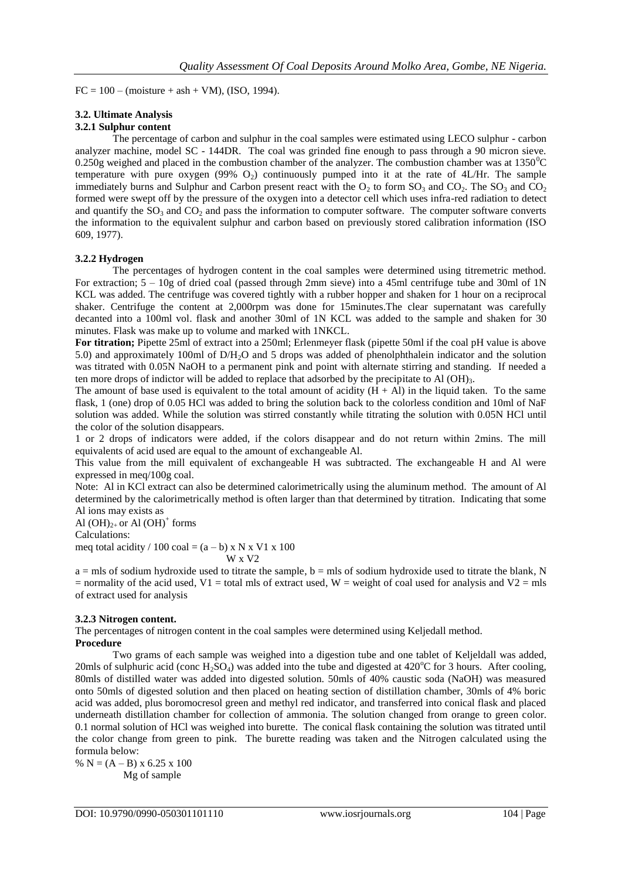$FC = 100 - (moisture + ash + VM)$ , (ISO, 1994).

## **3.2. Ultimate Analysis**

## **3.2.1 Sulphur content**

The percentage of carbon and sulphur in the coal samples were estimated using LECO sulphur - carbon analyzer machine, model SC - 144DR. The coal was grinded fine enough to pass through a 90 micron sieve. 0.250g weighed and placed in the combustion chamber of the analyzer. The combustion chamber was at  $1350^{\circ}$ C temperature with pure oxygen (99%  $O_2$ ) continuously pumped into it at the rate of 4L/Hr. The sample immediately burns and Sulphur and Carbon present react with the  $O_2$  to form  $SO_3$  and  $CO_2$ . The  $SO_3$  and  $CO_2$ formed were swept off by the pressure of the oxygen into a detector cell which uses infra-red radiation to detect and quantify the  $SO_3$  and  $CO_2$  and pass the information to computer software. The computer software converts the information to the equivalent sulphur and carbon based on previously stored calibration information (ISO 609, 1977).

## **3.2.2 Hydrogen**

The percentages of hydrogen content in the coal samples were determined using titremetric method. For extraction; 5 – 10g of dried coal (passed through 2mm sieve) into a 45ml centrifuge tube and 30ml of 1N KCL was added. The centrifuge was covered tightly with a rubber hopper and shaken for 1 hour on a reciprocal shaker. Centrifuge the content at 2,000rpm was done for 15minutes.The clear supernatant was carefully decanted into a 100ml vol. flask and another 30ml of 1N KCL was added to the sample and shaken for 30 minutes. Flask was make up to volume and marked with 1NKCL.

**For titration;** Pipette 25ml of extract into a 250ml; Erlenmeyer flask (pipette 50ml if the coal pH value is above 5.0) and approximately 100ml of D/H2O and 5 drops was added of phenolphthalein indicator and the solution was titrated with 0.05N NaOH to a permanent pink and point with alternate stirring and standing. If needed a ten more drops of indictor will be added to replace that adsorbed by the precipitate to Al  $(OH)_{3}$ .

The amount of base used is equivalent to the total amount of acidity  $(H + Al)$  in the liquid taken. To the same flask, 1 (one) drop of 0.05 HCl was added to bring the solution back to the colorless condition and 10ml of NaF solution was added. While the solution was stirred constantly while titrating the solution with 0.05N HCl until the color of the solution disappears.

1 or 2 drops of indicators were added, if the colors disappear and do not return within 2mins. The mill equivalents of acid used are equal to the amount of exchangeable Al.

This value from the mill equivalent of exchangeable H was subtracted. The exchangeable H and Al were expressed in meq/100g coal.

Note: Al in KCl extract can also be determined calorimetrically using the aluminum method. The amount of Al determined by the calorimetrically method is often larger than that determined by titration. Indicating that some Al ions may exists as

Al  $(OH)_{2+}$  or Al  $(OH)^+$  forms

Calculations:

meq total acidity / 100 coal =  $(a - b)$  x N x V1 x 100 W x V2

 $a =$  mls of sodium hydroxide used to titrate the sample,  $b =$  mls of sodium hydroxide used to titrate the blank, N  $=$  normality of the acid used, V<sub>1</sub> = total mls of extract used, W = weight of coal used for analysis and V<sub>2</sub> = mls of extract used for analysis

## **3.2.3 Nitrogen content.**

The percentages of nitrogen content in the coal samples were determined using Keljedall method. **Procedure**

Two grams of each sample was weighed into a digestion tube and one tablet of Keljeldall was added, 20mls of sulphuric acid (conc  $H_2SO_4$ ) was added into the tube and digested at 420<sup>o</sup>C for 3 hours. After cooling, 80mls of distilled water was added into digested solution. 50mls of 40% caustic soda (NaOH) was measured onto 50mls of digested solution and then placed on heating section of distillation chamber, 30mls of 4% boric acid was added, plus boromocresol green and methyl red indicator, and transferred into conical flask and placed underneath distillation chamber for collection of ammonia. The solution changed from orange to green color. 0.1 normal solution of HCl was weighed into burette. The conical flask containing the solution was titrated until the color change from green to pink. The burette reading was taken and the Nitrogen calculated using the formula below:

%  $N = (A - B) \times 6.25 \times 100$ Mg of sample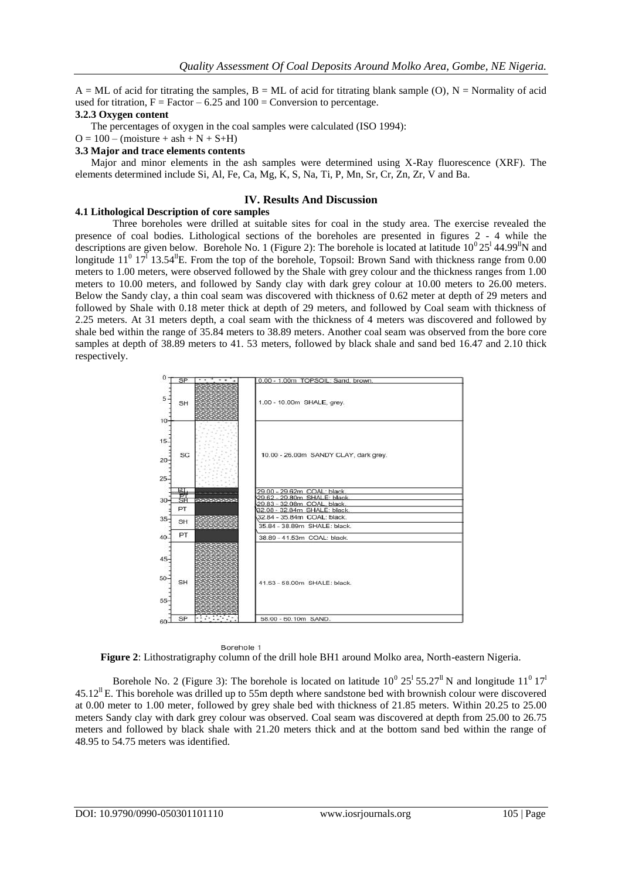$A = ML$  of acid for titrating the samples,  $B = ML$  of acid for titrating blank sample (O),  $N =$  Normality of acid used for titration,  $F = Factor - 6.25$  and  $100 = Conversion$  to percentage.

#### **3.2.3 Oxygen content**

The percentages of oxygen in the coal samples were calculated (ISO 1994):

 $O = 100 - (moisture + ash + N + S + H)$ 

#### **3.3 Major and trace elements contents**

 Major and minor elements in the ash samples were determined using X-Ray fluorescence (XRF). The elements determined include Si, Al, Fe, Ca, Mg, K, S, Na, Ti, P, Mn, Sr, Cr, Zn, Zr, V and Ba.

## **IV. Results And Discussion**

#### **4.1 Lithological Description of core samples**

Three boreholes were drilled at suitable sites for coal in the study area. The exercise revealed the presence of coal bodies. Lithological sections of the boreholes are presented in figures 2 - 4 while the descriptions are given below. Borehole No. 1 (Figure 2): The borehole is located at latitude  $10^0 25^1 44.99^1$ N and longitude  $11^0$   $17^1$  13.54<sup>ll</sup>E. From the top of the borehole, Topsoil: Brown Sand with thickness range from 0.00 meters to 1.00 meters, were observed followed by the Shale with grey colour and the thickness ranges from 1.00 meters to 10.00 meters, and followed by Sandy clay with dark grey colour at 10.00 meters to 26.00 meters. Below the Sandy clay, a thin coal seam was discovered with thickness of 0.62 meter at depth of 29 meters and followed by Shale with 0.18 meter thick at depth of 29 meters, and followed by Coal seam with thickness of 2.25 meters. At 31 meters depth, a coal seam with the thickness of 4 meters was discovered and followed by shale bed within the range of 35.84 meters to 38.89 meters. Another coal seam was observed from the bore core samples at depth of 38.89 meters to 41. 53 meters, followed by black shale and sand bed 16.47 and 2.10 thick respectively.





Borehole No. 2 (Figure 3): The borehole is located on latitude  $10^{\circ}$   $25^{\circ}$  55.27<sup>th</sup> N and longitude  $11^{\circ}$   $17^{\circ}$  $45.12^{\text{II}}$  E. This borehole was drilled up to 55m depth where sandstone bed with brownish colour were discovered at 0.00 meter to 1.00 meter, followed by grey shale bed with thickness of 21.85 meters. Within 20.25 to 25.00 meters Sandy clay with dark grey colour was observed. Coal seam was discovered at depth from 25.00 to 26.75 meters and followed by black shale with 21.20 meters thick and at the bottom sand bed within the range of 48.95 to 54.75 meters was identified.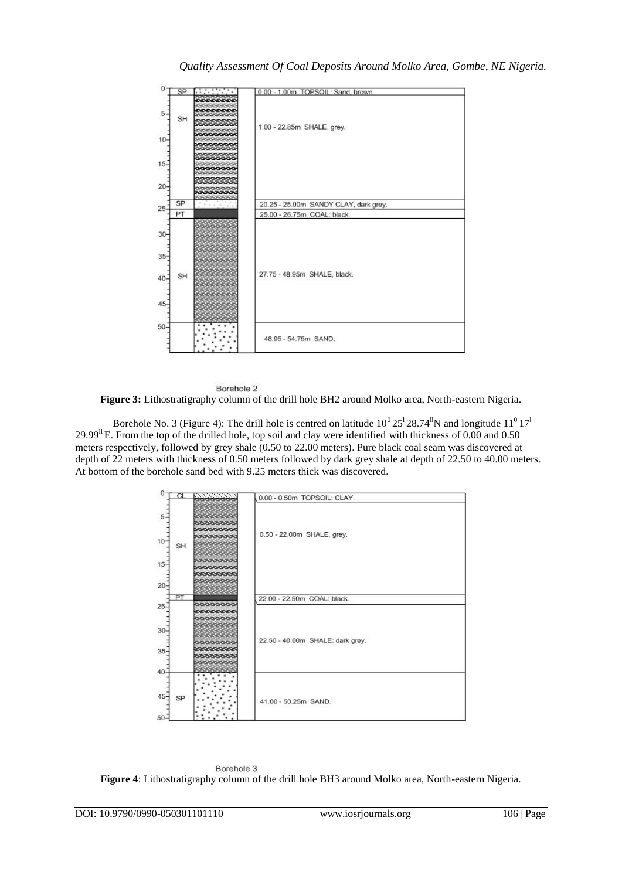



Borehole No. 3 (Figure 4): The drill hole is centred on latitude  $10^{\circ}$  25<sup>1</sup> 28.74<sup>th</sup>N and longitude  $11^{\circ}$  17<sup>t</sup> 29.99<sup>ll</sup> E. From the top of the drilled hole, top soil and clay were identified with thickness of 0.00 and 0.50 meters respectively, followed by grey shale (0.50 to 22.00 meters). Pure black coal seam was discovered at depth of 22 meters with thickness of 0.50 meters followed by dark grey shale at depth of 22.50 to 40.00 meters. At bottom of the borehole sand bed with 9.25 meters thick was discovered.



Borehole 3 **Figure 4**: Lithostratigraphy column of the drill hole BH3 around Molko area, North-eastern Nigeria.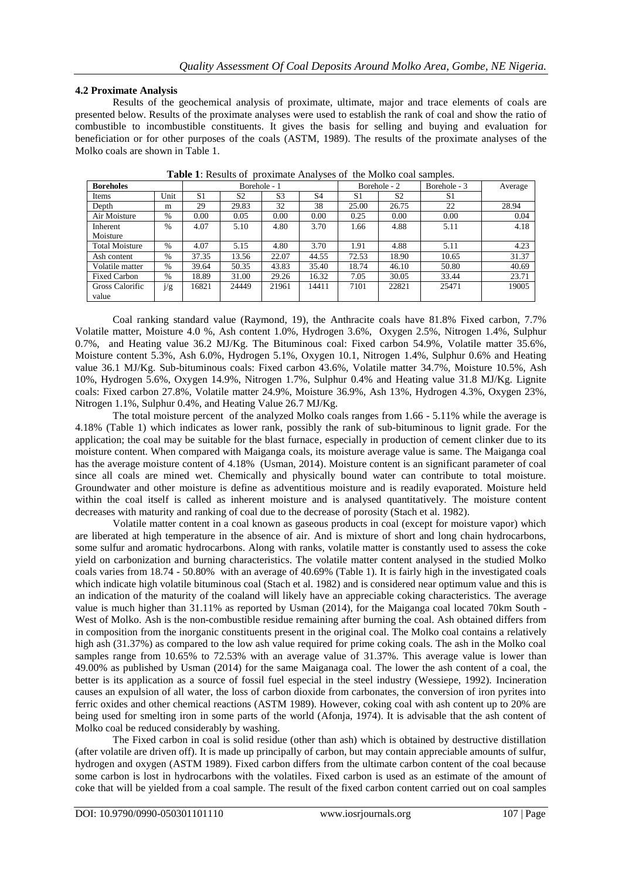## **4.2 Proximate Analysis**

Results of the geochemical analysis of proximate, ultimate, major and trace elements of coals are presented below. Results of the proximate analyses were used to establish the rank of coal and show the ratio of combustible to incombustible constituents. It gives the basis for selling and buying and evaluation for beneficiation or for other purposes of the coals (ASTM, 1989). The results of the proximate analyses of the Molko coals are shown in Table 1.

| <b>Boreholes</b>      |               |                | Borehole - 1   |                |                |       | Borehole - 2   | Borehole - 3   | Average |
|-----------------------|---------------|----------------|----------------|----------------|----------------|-------|----------------|----------------|---------|
| Items                 | Unit          | S <sub>1</sub> | S <sub>2</sub> | S <sub>3</sub> | S <sub>4</sub> | S1    | S <sub>2</sub> | S <sub>1</sub> |         |
| Depth                 | m             | 29             | 29.83          | 32             | 38             | 25.00 | 26.75          | 22             | 28.94   |
| Air Moisture          | $\%$          | 0.00           | 0.05           | 0.00           | 0.00           | 0.25  | 0.00           | 0.00           | 0.04    |
| Inherent              | $\frac{0}{0}$ | 4.07           | 5.10           | 4.80           | 3.70           | 1.66  | 4.88           | 5.11           | 4.18    |
| Moisture              |               |                |                |                |                |       |                |                |         |
| <b>Total Moisture</b> | $\%$          | 4.07           | 5.15           | 4.80           | 3.70           | 1.91  | 4.88           | 5.11           | 4.23    |
| Ash content           | $\%$          | 37.35          | 13.56          | 22.07          | 44.55          | 72.53 | 18.90          | 10.65          | 31.37   |
| Volatile matter       | $\%$          | 39.64          | 50.35          | 43.83          | 35.40          | 18.74 | 46.10          | 50.80          | 40.69   |
| <b>Fixed Carbon</b>   | $\%$          | 18.89          | 31.00          | 29.26          | 16.32          | 7.05  | 30.05          | 33.44          | 23.71   |
| Gross Calorific       | j/g           | 16821          | 24449          | 21961          | 14411          | 7101  | 22821          | 25471          | 19005   |
| value                 |               |                |                |                |                |       |                |                |         |

**Table 1**: Results of proximate Analyses of the Molko coal samples.

Coal ranking standard value (Raymond, 19), the Anthracite coals have 81.8% Fixed carbon, 7.7% Volatile matter, Moisture 4.0 %, Ash content 1.0%, Hydrogen 3.6%, Oxygen 2.5%, Nitrogen 1.4%, Sulphur 0.7%, and Heating value 36.2 MJ/Kg. The Bituminous coal: Fixed carbon 54.9%, Volatile matter 35.6%, Moisture content 5.3%, Ash 6.0%, Hydrogen 5.1%, Oxygen 10.1, Nitrogen 1.4%, Sulphur 0.6% and Heating value 36.1 MJ/Kg. Sub-bituminous coals: Fixed carbon 43.6%, Volatile matter 34.7%, Moisture 10.5%, Ash 10%, Hydrogen 5.6%, Oxygen 14.9%, Nitrogen 1.7%, Sulphur 0.4% and Heating value 31.8 MJ/Kg. Lignite coals: Fixed carbon 27.8%, Volatile matter 24.9%, Moisture 36.9%, Ash 13%, Hydrogen 4.3%, Oxygen 23%, Nitrogen 1.1%, Sulphur 0.4%, and Heating Value 26.7 MJ/Kg.

The total moisture percent of the analyzed Molko coals ranges from 1.66 - 5.11% while the average is 4.18% (Table 1) which indicates as lower rank, possibly the rank of sub-bituminous to lignit grade. For the application; the coal may be suitable for the blast furnace, especially in production of cement clinker due to its moisture content. When compared with Maiganga coals, its moisture average value is same. The Maiganga coal has the average moisture content of 4.18% (Usman, 2014). Moisture content is an significant parameter of coal since all coals are mined wet. Chemically and physically bound water can contribute to total moisture. Groundwater and other moisture is define as adventitious moisture and is readily evaporated. Moisture held within the coal itself is called as inherent moisture and is analysed quantitatively. The moisture content decreases with maturity and ranking of coal due to the decrease of porosity (Stach et al. 1982).

Volatile matter content in a coal known as gaseous products in coal (except for moisture vapor) which are liberated at high temperature in the absence of air. And is mixture of short and long chain hydrocarbons, some sulfur and aromatic hydrocarbons. Along with ranks, volatile matter is constantly used to assess the coke yield on carbonization and burning characteristics. The volatile matter content analysed in the studied Molko coals varies from 18.74 - 50.80% with an average of 40.69% (Table 1). It is fairly high in the investigated coals which indicate high volatile bituminous coal (Stach et al. 1982) and is considered near optimum value and this is an indication of the maturity of the coaland will likely have an appreciable coking characteristics. The average value is much higher than 31.11% as reported by Usman (2014), for the Maiganga coal located 70km South - West of Molko. Ash is the non-combustible residue remaining after burning the coal. Ash obtained differs from in composition from the inorganic constituents present in the original coal. The Molko coal contains a relatively high ash (31.37%) as compared to the low ash value required for prime coking coals. The ash in the Molko coal samples range from 10.65% to 72.53% with an average value of 31.37%. This average value is lower than 49.00% as published by Usman (2014) for the same Maiganaga coal. The lower the ash content of a coal, the better is its application as a source of fossil fuel especial in the steel industry (Wessiepe, 1992). Incineration causes an expulsion of all water, the loss of carbon dioxide from carbonates, the conversion of iron pyrites into ferric oxides and other chemical reactions (ASTM 1989). However, coking coal with ash content up to 20% are being used for smelting iron in some parts of the world (Afonja, 1974). It is advisable that the ash content of Molko coal be reduced considerably by washing.

The Fixed carbon in coal is solid residue (other than ash) which is obtained by destructive distillation (after volatile are driven off). It is made up principally of carbon, but may contain appreciable amounts of sulfur, hydrogen and oxygen (ASTM 1989). Fixed carbon differs from the ultimate carbon content of the coal because some carbon is lost in hydrocarbons with the volatiles. Fixed carbon is used as an estimate of the amount of coke that will be yielded from a coal sample. The result of the fixed carbon content carried out on coal samples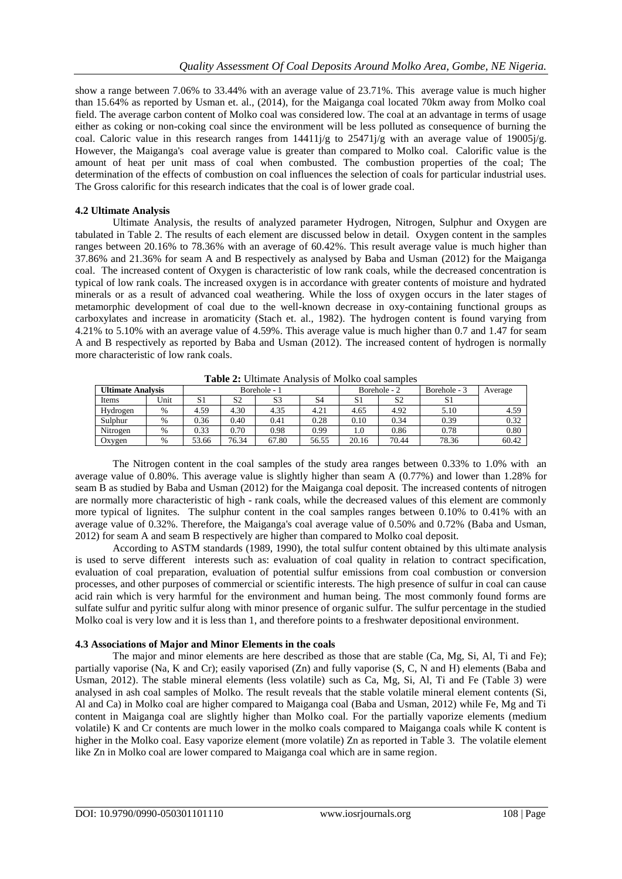show a range between 7.06% to 33.44% with an average value of 23.71%. This average value is much higher than 15.64% as reported by Usman et. al., (2014), for the Maiganga coal located 70km away from Molko coal field. The average carbon content of Molko coal was considered low. The coal at an advantage in terms of usage either as coking or non-coking coal since the environment will be less polluted as consequence of burning the coal. Caloric value in this research ranges from 14411j/g to 25471j/g with an average value of 19005j/g. However, the Maiganga's coal average value is greater than compared to Molko coal. Calorific value is the amount of heat per unit mass of coal when combusted. The combustion properties of the coal; The determination of the effects of combustion on coal influences the selection of coals for particular industrial uses. The Gross calorific for this research indicates that the coal is of lower grade coal.

## **4.2 Ultimate Analysis**

Ultimate Analysis, the results of analyzed parameter Hydrogen, Nitrogen, Sulphur and Oxygen are tabulated in Table 2. The results of each element are discussed below in detail. Oxygen content in the samples ranges between 20.16% to 78.36% with an average of 60.42%. This result average value is much higher than 37.86% and 21.36% for seam A and B respectively as analysed by Baba and Usman (2012) for the Maiganga coal. The increased content of Oxygen is characteristic of low rank coals, while the decreased concentration is typical of low rank coals. The increased oxygen is in accordance with greater contents of moisture and hydrated minerals or as a result of advanced coal weathering. While the loss of oxygen occurs in the later stages of metamorphic development of coal due to the well-known decrease in oxy-containing functional groups as carboxylates and increase in aromaticity (Stach et. al., 1982). The hydrogen content is found varying from 4.21% to 5.10% with an average value of 4.59%. This average value is much higher than 0.7 and 1.47 for seam A and B respectively as reported by Baba and Usman (2012). The increased content of hydrogen is normally more characteristic of low rank coals.

| $1.10$ . The state of the state of $1.1$ |      |              |                |                |       |              |       |              |         |
|------------------------------------------|------|--------------|----------------|----------------|-------|--------------|-------|--------------|---------|
| <b>Ultimate Analysis</b>                 |      | Borehole - 1 |                |                |       | Borehole - 2 |       | Borehole - 3 | Average |
| Items                                    | Unit | S1           | S <sub>2</sub> | S <sub>3</sub> | S4    | S1           | S2    | ر د          |         |
| Hydrogen                                 | %    | 4.59         | 4.30           | 4.35           | 4.21  | 4.65         | 4.92  | 5.10         | 4.59    |
| Sulphur                                  | %    | 0.36         | 0.40           | 0.41           | 0.28  | 0.10         | 0.34  | 0.39         | 0.32    |
| Nitrogen                                 | $\%$ | 0.33         | 0.70           | 0.98           | 0.99  | 0.1          | 0.86  | 0.78         | 0.80    |
| Oxygen                                   | $\%$ | 53.66        | 76.34          | 67.80          | 56.55 | 20.16        | 70.44 | 78.36        | 60.42   |

**Table 2:** Ultimate Analysis of Molko coal samples

The Nitrogen content in the coal samples of the study area ranges between 0.33% to 1.0% with an average value of 0.80%. This average value is slightly higher than seam A (0.77%) and lower than 1.28% for seam B as studied by Baba and Usman (2012) for the Maiganga coal deposit. The increased contents of nitrogen are normally more characteristic of high - rank coals, while the decreased values of this element are commonly more typical of lignites. The sulphur content in the coal samples ranges between 0.10% to 0.41% with an average value of 0.32%. Therefore, the Maiganga's coal average value of 0.50% and 0.72% (Baba and Usman, 2012) for seam A and seam B respectively are higher than compared to Molko coal deposit.

According to ASTM standards (1989, 1990), the total sulfur content obtained by this ultimate analysis is used to serve different interests such as: evaluation of coal quality in relation to contract specification, evaluation of coal preparation, evaluation of potential sulfur emissions from coal combustion or conversion processes, and other purposes of commercial or scientific interests. The high presence of sulfur in coal can cause acid rain which is very harmful for the environment and human being. The most commonly found forms are sulfate sulfur and pyritic sulfur along with minor presence of organic sulfur. The sulfur percentage in the studied Molko coal is very low and it is less than 1, and therefore points to a freshwater depositional environment.

# **4.3 Associations of Major and Minor Elements in the coals**

The major and minor elements are here described as those that are stable (Ca, Mg, Si, Al, Ti and Fe); partially vaporise (Na, K and Cr); easily vaporised (Zn) and fully vaporise (S, C, N and H) elements (Baba and Usman, 2012). The stable mineral elements (less volatile) such as Ca, Mg, Si, Al, Ti and Fe (Table 3) were analysed in ash coal samples of Molko. The result reveals that the stable volatile mineral element contents (Si, Al and Ca) in Molko coal are higher compared to Maiganga coal (Baba and Usman, 2012) while Fe, Mg and Ti content in Maiganga coal are slightly higher than Molko coal. For the partially vaporize elements (medium volatile) K and Cr contents are much lower in the molko coals compared to Maiganga coals while K content is higher in the Molko coal. Easy vaporize element (more volatile) Zn as reported in Table 3. The volatile element like Zn in Molko coal are lower compared to Maiganga coal which are in same region.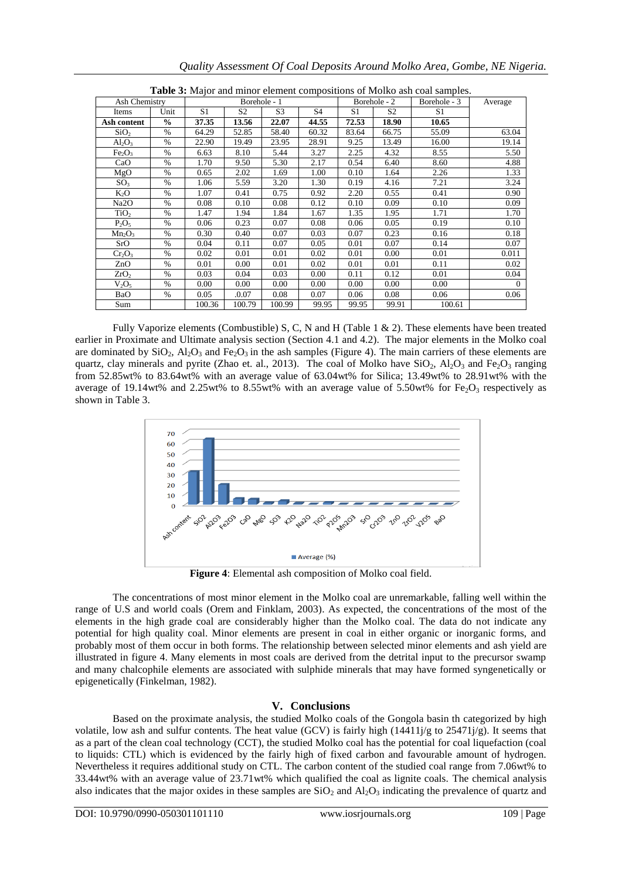| <b>Table 5:</b> Major and minor element compositions of Morko ash coal samples. |               |              |        |                |                |              |       |              |          |
|---------------------------------------------------------------------------------|---------------|--------------|--------|----------------|----------------|--------------|-------|--------------|----------|
| Ash Chemistry                                                                   |               | Borehole - 1 |        |                |                | Borehole - 2 |       | Borehole - 3 | Average  |
| Items                                                                           | Unit          | S1           | S2     | S <sub>3</sub> | S <sub>4</sub> | S1           | S2    | S1           |          |
| Ash content                                                                     | $\frac{6}{6}$ | 37.35        | 13.56  | 22.07          | 44.55          | 72.53        | 18.90 | 10.65        |          |
| SiO <sub>2</sub>                                                                | $\%$          | 64.29        | 52.85  | 58.40          | 60.32          | 83.64        | 66.75 | 55.09        | 63.04    |
| $Al_2O_3$                                                                       | $\frac{0}{0}$ | 22.90        | 19.49  | 23.95          | 28.91          | 9.25         | 13.49 | 16.00        | 19.14    |
| Fe <sub>2</sub> O <sub>3</sub>                                                  | $\%$          | 6.63         | 8.10   | 5.44           | 3.27           | 2.25         | 4.32  | 8.55         | 5.50     |
| CaO                                                                             | $\%$          | 1.70         | 9.50   | 5.30           | 2.17           | 0.54         | 6.40  | 8.60         | 4.88     |
| MgO                                                                             | $\%$          | 0.65         | 2.02   | 1.69           | 1.00           | 0.10         | 1.64  | 2.26         | 1.33     |
| SO <sub>3</sub>                                                                 | $\%$          | 1.06         | 5.59   | 3.20           | 1.30           | 0.19         | 4.16  | 7.21         | 3.24     |
| K <sub>2</sub> O                                                                | $\%$          | 1.07         | 0.41   | 0.75           | 0.92           | 2.20         | 0.55  | 0.41         | 0.90     |
| Na2O                                                                            | $\frac{0}{0}$ | 0.08         | 0.10   | 0.08           | 0.12           | 0.10         | 0.09  | 0.10         | 0.09     |
| TiO <sub>2</sub>                                                                | $\frac{0}{0}$ | 1.47         | 1.94   | 1.84           | 1.67           | 1.35         | 1.95  | 1.71         | 1.70     |
| $P_2O_5$                                                                        | $\%$          | 0.06         | 0.23   | 0.07           | 0.08           | 0.06         | 0.05  | 0.19         | 0.10     |
| $Mn_2O_3$                                                                       | $\frac{0}{0}$ | 0.30         | 0.40   | 0.07           | 0.03           | 0.07         | 0.23  | 0.16         | 0.18     |
| SrO                                                                             | $\%$          | 0.04         | 0.11   | 0.07           | 0.05           | 0.01         | 0.07  | 0.14         | 0.07     |
| $Cr_2O_3$                                                                       | $\frac{0}{0}$ | 0.02         | 0.01   | 0.01           | 0.02           | 0.01         | 0.00  | 0.01         | 0.011    |
| ZnO                                                                             | $\%$          | 0.01         | 0.00   | 0.01           | 0.02           | 0.01         | 0.01  | 0.11         | 0.02     |
| ZrO <sub>2</sub>                                                                | $\%$          | 0.03         | 0.04   | 0.03           | 0.00           | 0.11         | 0.12  | 0.01         | 0.04     |
| $V_2O_5$                                                                        | $\%$          | 0.00         | 0.00   | 0.00           | 0.00           | 0.00         | 0.00  | 0.00         | $\Omega$ |
| BaO                                                                             | $\%$          | 0.05         | .0.07  | 0.08           | 0.07           | 0.06         | 0.08  | 0.06         | 0.06     |
| Sum                                                                             |               | 100.36       | 100.79 | 100.99         | 99.95          | 99.95        | 99.91 | 100.61       |          |

| <b>Table 3:</b> Major and minor element compositions of Molko ash coal samples. |  |  |
|---------------------------------------------------------------------------------|--|--|
|                                                                                 |  |  |

Fully Vaporize elements (Combustible) S, C, N and H (Table 1 & 2). These elements have been treated earlier in Proximate and Ultimate analysis section (Section 4.1 and 4.2). The major elements in the Molko coal are dominated by  $SiO_2$ ,  $Al_2O_3$  and Fe<sub>2</sub>O<sub>3</sub> in the ash samples (Figure 4). The main carriers of these elements are quartz, clay minerals and pyrite (Zhao et. al., 2013). The coal of Molko have  $SiO_2$ ,  $Al_2O_3$  and  $Fe_2O_3$  ranging from 52.85wt% to 83.64wt% with an average value of 63.04wt% for Silica; 13.49wt% to 28.91wt% with the average of 19.14wt% and 2.25wt% to 8.55wt% with an average value of 5.50wt% for Fe<sub>2</sub>O<sub>3</sub> respectively as shown in Table 3.



**Figure 4**: Elemental ash composition of Molko coal field.

The concentrations of most minor element in the Molko coal are unremarkable, falling well within the range of U.S and world coals (Orem and Finklam, 2003). As expected, the concentrations of the most of the elements in the high grade coal are considerably higher than the Molko coal. The data do not indicate any potential for high quality coal. Minor elements are present in coal in either organic or inorganic forms, and probably most of them occur in both forms. The relationship between selected minor elements and ash yield are illustrated in figure 4. Many elements in most coals are derived from the detrital input to the precursor swamp and many chalcophile elements are associated with sulphide minerals that may have formed syngenetically or epigenetically (Finkelman, 1982).

# **V. Conclusions**

Based on the proximate analysis, the studied Molko coals of the Gongola basin th categorized by high volatile, low ash and sulfur contents. The heat value (GCV) is fairly high  $(14411j/g$  to  $25471j/g$ ). It seems that as a part of the clean coal technology (CCT), the studied Molko coal has the potential for coal liquefaction (coal to liquids: CTL) which is evidenced by the fairly high of fixed carbon and favourable amount of hydrogen. Nevertheless it requires additional study on CTL. The carbon content of the studied coal range from 7.06wt% to 33.44wt% with an average value of 23.71wt% which qualified the coal as lignite coals. The chemical analysis also indicates that the major oxides in these samples are  $SiO<sub>2</sub>$  and  $Al<sub>2</sub>O<sub>3</sub>$  indicating the prevalence of quartz and